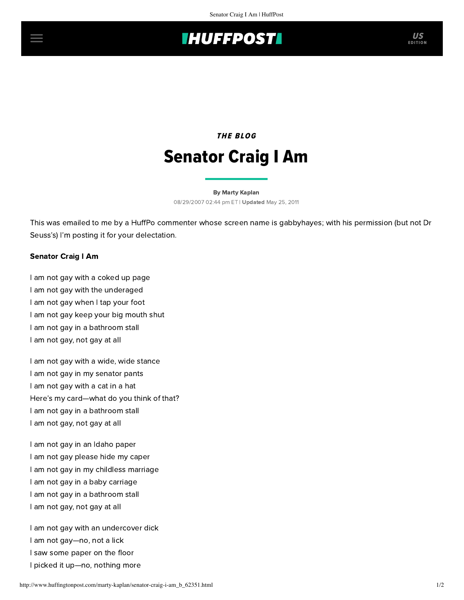## **IHUFFPOSTI**

## THE BLOG Senator Craig I Am

[By Marty Kaplan](http://www.huffingtonpost.com/author/marty-kaplan) 08/29/2007 02:44 pm ET | Updated May 25, 2011

This was emailed to me by a HuffPo commenter whose screen name is gabbyhayes; with his permission (but not Dr Seuss's) I'm posting it for your delectation.

## Senator Craig I Am

I am not gay with a coked up page I am not gay with the underaged I am not gay when I tap your foot I am not gay keep your big mouth shut I am not gay in a bathroom stall I am not gay, not gay at all

I am not gay with a wide, wide stance I am not gay in my senator pants I am not gay with a cat in a hat Here's my card—what do you think of that? I am not gay in a bathroom stall I am not gay, not gay at all

I am not gay in an Idaho paper I am not gay please hide my caper I am not gay in my childless marriage I am not gay in a baby carriage I am not gay in a bathroom stall I am not gay, not gay at all

I am not gay with an undercover dick I am not gay—no, not a lick I saw some paper on the floor I picked it up—no, nothing more